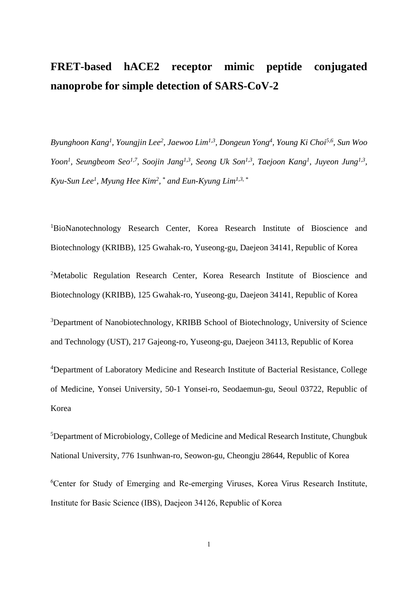## **FRET-based hACE2 receptor mimic peptide conjugated nanoprobe for simple detection of SARS-CoV-2**

*Byunghoon Kang<sup>1</sup> , Youngjin Lee<sup>2</sup> , Jaewoo Lim1,3, Dongeun Yong<sup>4</sup> , Young Ki Choi5,6 , Sun Woo Yoon<sup>1</sup>*, *Seungbeom Seo<sup>1,7</sup>*, *Soojin Jang<sup>1,3</sup>*, *Seong Uk Son<sup>1,3</sup>, Taejoon Kang<sup>1</sup>, Juyeon Jung<sup>1,3</sup>, Kyu-Sun Lee<sup>1</sup> , Myung Hee Kim<sup>2</sup> , \* and Eun-Kyung Lim1,3, \**

<sup>1</sup>BioNanotechnology Research Center, Korea Research Institute of Bioscience and Biotechnology (KRIBB), 125 Gwahak-ro, Yuseong-gu, Daejeon 34141, Republic of Korea <sup>2</sup>Metabolic Regulation Research Center, Korea Research Institute of Bioscience and Biotechnology (KRIBB), 125 Gwahak-ro, Yuseong-gu, Daejeon 34141, Republic of Korea

<sup>3</sup>Department of Nanobiotechnology, KRIBB School of Biotechnology, University of Science and Technology (UST), 217 Gajeong-ro, Yuseong-gu, Daejeon 34113, Republic of Korea

<sup>4</sup>Department of Laboratory Medicine and Research Institute of Bacterial Resistance, College of Medicine, Yonsei University, 50-1 Yonsei-ro, Seodaemun-gu, Seoul 03722, Republic of Korea

<sup>5</sup>Department of Microbiology, College of Medicine and Medical Research Institute, Chungbuk National University, 776 1sunhwan-ro, Seowon-gu, Cheongju 28644, Republic of Korea

<sup>6</sup>Center for Study of Emerging and Re-emerging Viruses, Korea Virus Research Institute, Institute for Basic Science (IBS), Daejeon 34126, Republic of Korea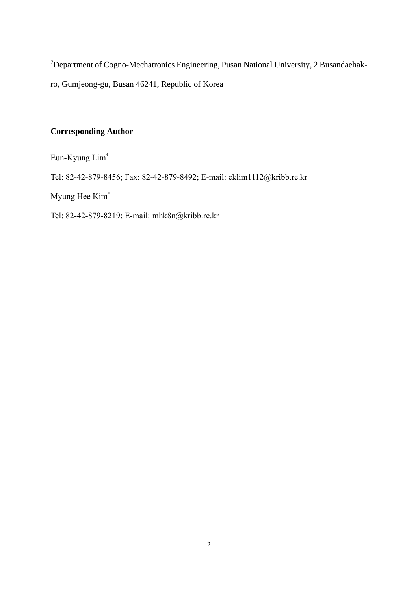<sup>7</sup>Department of Cogno-Mechatronics Engineering, Pusan National University, 2 Busandaehakro, Gumjeong-gu, Busan 46241, Republic of Korea

## **Corresponding Author**

Eun-Kyung Lim\*

Tel: 82-42-879-8456; Fax: 82-42-879-8492; E-mail: eklim1112@kribb.re.kr

Myung Hee Kim\*

Tel: 82-42-879-8219; E-mail: [mhk8n@kribb.re.kr](https://int.kribb.re.kr/BizRunner/Account/UserInfoPage.bzr?userID=1316)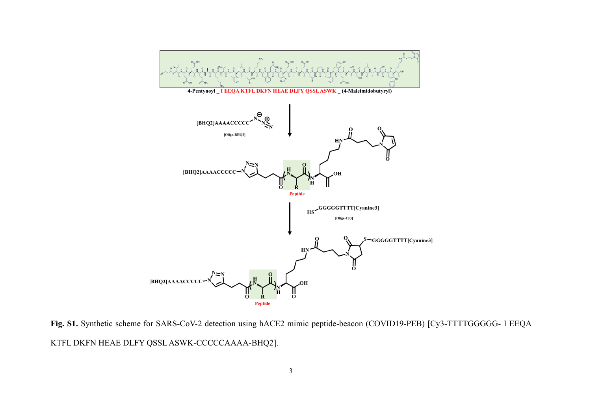

**Fig. S1.** Synthetic scheme for SARS-CoV-2 detection using hACE2 mimic peptide-beacon (COVID19-PEB) [Cy3-TTTTGGGGG- I EEQA KTFL DKFN HEAE DLFY QSSL ASWK-CCCCCAAAA-BHQ2].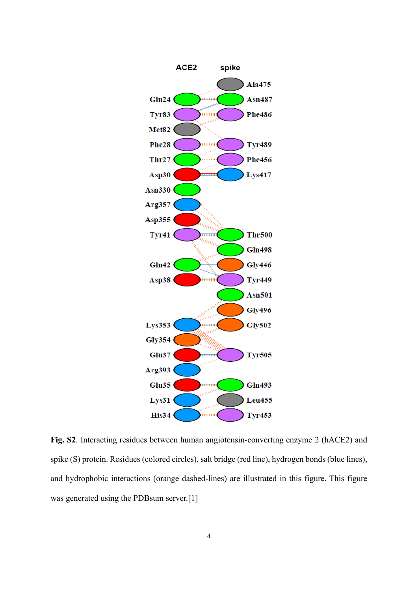

**Fig. S2**. Interacting residues between human angiotensin-converting enzyme 2 (hACE2) and spike (S) protein. Residues (colored circles), salt bridge (red line), hydrogen bonds (blue lines), and hydrophobic interactions (orange dashed-lines) are illustrated in this figure. This figure was generated using the PDBsum server.[1]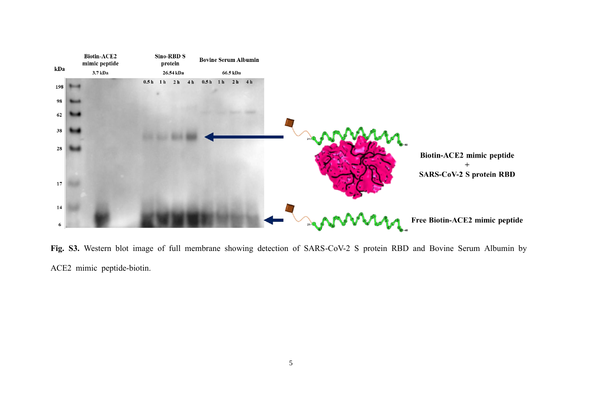

**Fig. S3.** Western blot image of full membrane showing detection of SARS-CoV-2 S protein RBD and Bovine Serum Albumin by ACE2 mimic peptide-biotin.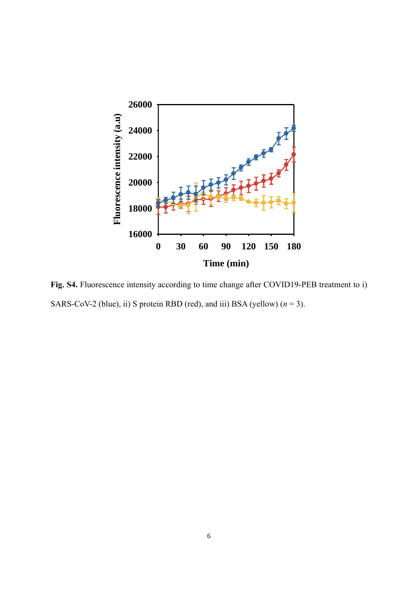

**Fig. S4.** Fluorescence intensity according to time change after COVID19-PEB treatment to i) SARS-CoV-2 (blue), ii) S protein RBD (red), and iii) BSA (yellow)  $(n = 3)$ .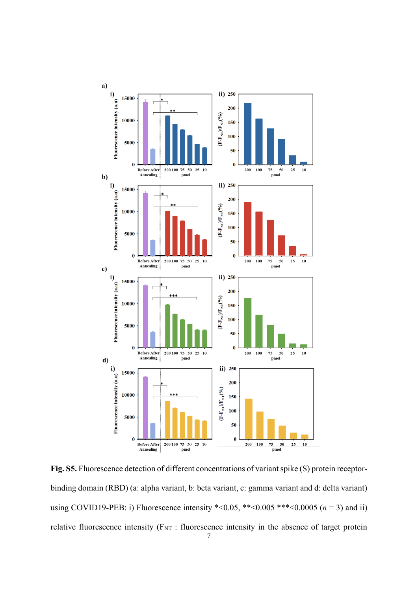

**Fig. S5.** Fluorescence detection of different concentrations of variant spike (S) protein receptorbinding domain (RBD) (a: alpha variant, b: beta variant, c: gamma variant and d: delta variant) using COVID19-PEB: i) Fluorescence intensity  $\text{*} < 0.05$ ,  $\text{*} < 0.005$   $\text{*} < \text{*} < 0.0005$  (*n* = 3) and ii) relative fluorescence intensity ( $F_{NT}$ : fluorescence intensity in the absence of target protein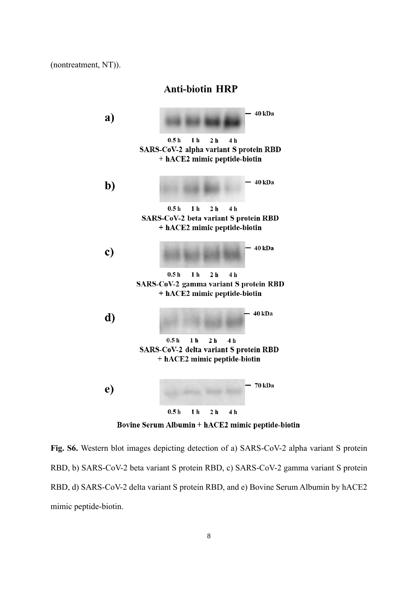(nontreatment, NT)).

## **Anti-biotin HRP**



Bovine Serum Albumin + hACE2 mimic peptide-biotin

**Fig. S6.** Western blot images depicting detection of a) SARS-CoV-2 alpha variant S protein RBD, b) SARS-CoV-2 beta variant S protein RBD, c) SARS-CoV-2 gamma variant S protein RBD, d) SARS-CoV-2 delta variant S protein RBD, and e) Bovine Serum Albumin by hACE2 mimic peptide-biotin.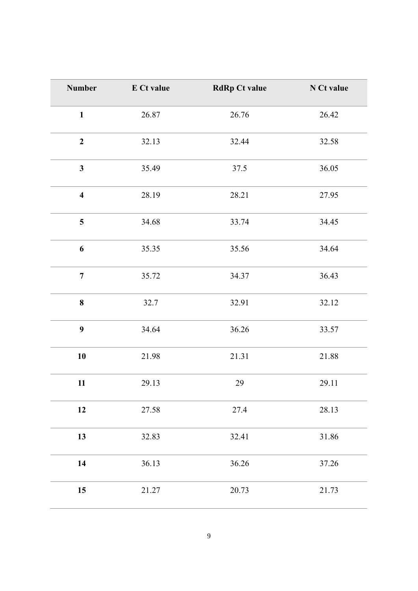| <b>Number</b>           | E Ct value | <b>RdRp Ct value</b> | N Ct value |
|-------------------------|------------|----------------------|------------|
| $\mathbf{1}$            | 26.87      | 26.76                | 26.42      |
| $\boldsymbol{2}$        | 32.13      | 32.44                | 32.58      |
| $\overline{\mathbf{3}}$ | 35.49      | 37.5                 | 36.05      |
| $\overline{\mathbf{4}}$ | 28.19      | 28.21                | 27.95      |
| 5                       | 34.68      | 33.74                | 34.45      |
| 6                       | 35.35      | 35.56                | 34.64      |
| $\overline{7}$          | 35.72      | 34.37                | 36.43      |
| 8                       | 32.7       | 32.91                | 32.12      |
| 9                       | 34.64      | 36.26                | 33.57      |
| 10                      | 21.98      | 21.31                | 21.88      |
| 11                      | 29.13      | 29                   | 29.11      |
| 12                      | 27.58      | 27.4                 | 28.13      |
| 13                      | 32.83      | 32.41                | 31.86      |
| 14                      | 36.13      | 36.26                | 37.26      |
| 15                      | 21.27      | 20.73                | 21.73      |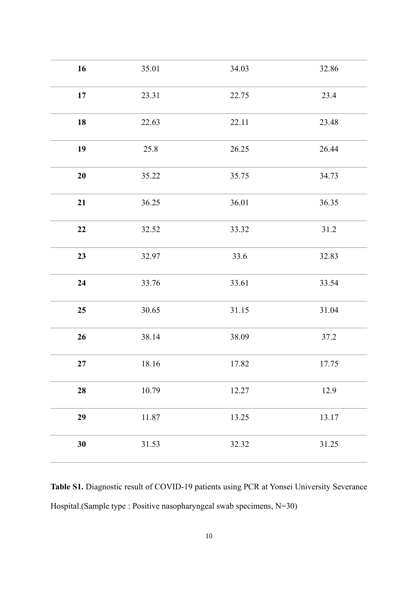| 16       | 35.01 | 34.03 | 32.86 |
|----------|-------|-------|-------|
| 17       | 23.31 | 22.75 | 23.4  |
| 18       | 22.63 | 22.11 | 23.48 |
| 19       | 25.8  | 26.25 | 26.44 |
| 20       | 35.22 | 35.75 | 34.73 |
| 21       | 36.25 | 36.01 | 36.35 |
| 22       | 32.52 | 33.32 | 31.2  |
| 23       | 32.97 | 33.6  | 32.83 |
| 24       | 33.76 | 33.61 | 33.54 |
| 25       | 30.65 | 31.15 | 31.04 |
| 26       | 38.14 | 38.09 | 37.2  |
| $\bf 27$ | 18.16 | 17.82 | 17.75 |
| 28       | 10.79 | 12.27 | 12.9  |
| 29       | 11.87 | 13.25 | 13.17 |
| 30       | 31.53 | 32.32 | 31.25 |

**Table S1.** Diagnostic result of COVID-19 patients using PCR at Yonsei University Severance Hospital.(Sample type : Positive nasopharyngeal swab specimens, N=30)